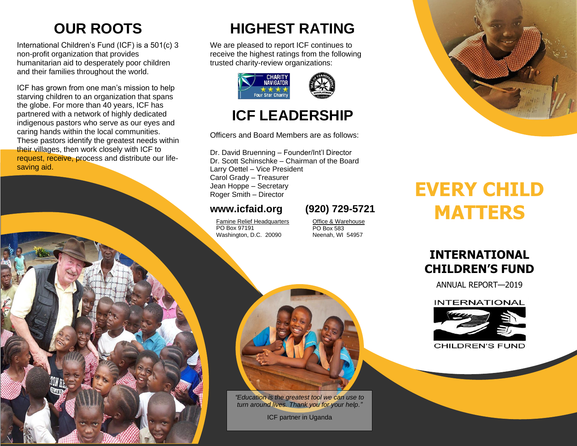# **OUR ROOTS**

International Children's Fund (ICF) is a 501(c) 3 non-profit organization that provides humanitarian aid to desperately poor children and their families throughout the world.

ICF has grown from one man's mission to help starving children to an organization that spans the globe. For more than 40 years, ICF has partnered with a network of highly dedicated indigenous pastors who serve as our eyes and caring hands within the local communities. These pastors identify the greatest needs within their villages, then work closely with ICF to request, receive, process and distribute our lifesaving aid.

# **HIGHEST RATING**

We are pleased to report ICF continues to receive the highest ratings from the following trusted charity-review organizations:



## **ICF LEADERSHIP**

Officers and Board Members are as follows:

Dr. David Bruenning – Founder/Int'l Director Dr. Scott Schinschke – Chairman of the Board Larry Oettel – Vice President Carol Grady – Treasurer Jean Hoppe – Secretary Roger Smith – Director

## **[www.icfaid.org](http://www.icfaid.org/) (920) 729-5721**

Famine Relief Headquarters PO Box 97191 Washington, D.C. 20090

Office & Warehouse PO Box 583 Neenah, WI 54957



# **EVERY CHILD MATTERS**

## **INTERNATIONAL CHILDREN'S FUND**

ANNUAL REPORT—2019

#### **INTERNATIONAL**



**CHILDREN'S FUND** 



*"Education is the greatest tool we can use to turn around lives. Thank you for your help."*

ICF partner in Uganda